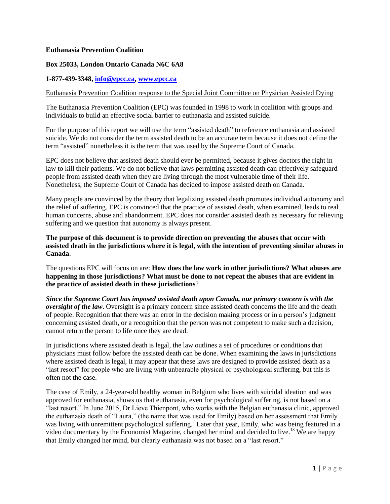### **Euthanasia Prevention Coalition**

### **Box 25033, London Ontario Canada N6C 6A8**

### **1-877-439-3348, [info@epcc.ca,](mailto:info@epcc.ca) [www.epcc.ca](http://www.epcc.ca/)**

#### Euthanasia Prevention Coalition response to the Special Joint Committee on Physician Assisted Dying

The Euthanasia Prevention Coalition (EPC) was founded in 1998 to work in coalition with groups and individuals to build an effective social barrier to euthanasia and assisted suicide.

For the purpose of this report we will use the term "assisted death" to reference euthanasia and assisted suicide. We do not consider the term assisted death to be an accurate term because it does not define the term "assisted" nonetheless it is the term that was used by the Supreme Court of Canada.

EPC does not believe that assisted death should ever be permitted, because it gives doctors the right in law to kill their patients. We do not believe that laws permitting assisted death can effectively safeguard people from assisted death when they are living through the most vulnerable time of their life. Nonetheless, the Supreme Court of Canada has decided to impose assisted death on Canada.

Many people are convinced by the theory that legalizing assisted death promotes individual autonomy and the relief of suffering. EPC is convinced that the practice of assisted death, when examined, leads to real human concerns, abuse and abandonment. EPC does not consider assisted death as necessary for relieving suffering and we question that autonomy is always present.

**The purpose of this document is to provide direction on preventing the abuses that occur with assisted death in the jurisdictions where it is legal, with the intention of preventing similar abuses in Canada**.

The questions EPC will focus on are: **How does the law work in other jurisdictions? What abuses are happening in those jurisdictions? What must be done to not repeat the abuses that are evident in the practice of assisted death in these jurisdictions**?

*Since the Supreme Court has imposed assisted death upon Canada, our primary concern is with the oversight of the law*. Oversight is a primary concern since assisted death concerns the life and the death of people. Recognition that there was an error in the decision making process or in a person's judgment concerning assisted death, or a recognition that the person was not competent to make such a decision, cannot return the person to life once they are dead.

In jurisdictions where assisted death is legal, the law outlines a set of procedures or conditions that physicians must follow before the assisted death can be done. When examining the laws in jurisdictions where assisted death is legal, it may appear that these laws are designed to provide assisted death as a "last resort" for people who are living with unbearable physical or psychological suffering, but this is often not the case.<sup>1</sup>

The case of Emily, a 24-year-old healthy woman in Belgium who lives with suicidal ideation and was approved for euthanasia, shows us that euthanasia, even for psychological suffering, is not based on a "last resort." In June 2015, Dr Lieve Thienpont, who works with the Belgian euthanasia clinic, approved the euthanasia death of "Laura," (the name that was used for Emily) based on her assessment that Emily was living with unremittent psychological suffering.<sup>2</sup> Later that year, Emily, who was being featured in a video documentary by the Economist Magazine, changed her mind and decided to live.<sup>18</sup> We are happy that Emily changed her mind, but clearly euthanasia was not based on a "last resort."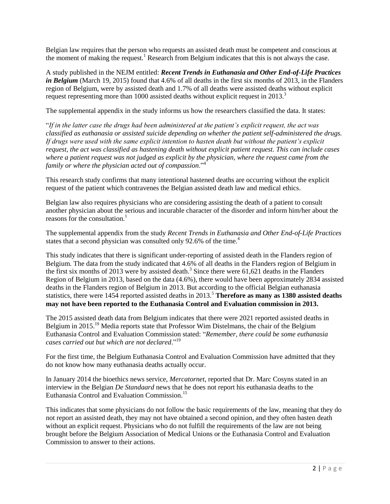Belgian law requires that the person who requests an assisted death must be competent and conscious at the moment of making the request.<sup>1</sup> Research from Belgium indicates that this is not always the case.

A study published in the NEJM entitled: *Recent Trends in Euthanasia and Other End-of-Life Practices in Belgium* (March 19, 2015) found that 4.6% of all deaths in the first six months of 2013, in the Flanders region of Belgium, were by assisted death and 1.7% of all deaths were assisted deaths without explicit request representing more than 1000 assisted deaths without explicit request in 2013.<sup>3</sup>

The supplemental appendix in the study informs us how the researchers classified the data. It states:

"*If in the latter case the drugs had been administered at the patient's explicit request, the act was classified as euthanasia or assisted suicide depending on whether the patient self-administered the drugs. If drugs were used with the same explicit intention to hasten death but without the patient's explicit request, the act was classified as hastening death without explicit patient request. This can include cases where a patient request was not judged as explicit by the physician, where the request came from the family or where the physician acted out of compassion*."<sup>4</sup>

This research study confirms that many intentional hastened deaths are occurring without the explicit request of the patient which contravenes the Belgian assisted death law and medical ethics.

Belgian law also requires physicians who are considering assisting the death of a patient to consult another physician about the serious and incurable character of the disorder and inform him/her about the reasons for the consultation. $\frac{1}{1}$ 

The supplemental appendix from the study *Recent Trends in Euthanasia and Other End-of-Life Practices* states that a second physician was consulted only 92.6% of the time.<sup>4</sup>

This study indicates that there is significant under-reporting of assisted death in the Flanders region of Belgium. The data from the study indicated that 4.6% of all deaths in the Flanders region of Belgium in the first six months of 2013 were by assisted death. 3 Since there were 61,621 deaths in the Flanders Region of Belgium in 2013, based on the data (4.6%), there would have been approximately 2834 assisted deaths in the Flanders region of Belgium in 2013. But according to the official Belgian euthanasia statistics, there were 1454 reported assisted deaths in 2013.<sup>5</sup> **Therefore as many as 1380 assisted deaths may not have been reported to the Euthanasia Control and Evaluation commission in 2013.**

The 2015 assisted death data from Belgium indicates that there were 2021 reported assisted deaths in Belgium in 2015.<sup>19</sup> Media reports state that Professor Wim Distelmans, the chair of the Belgium Euthanasia Control and Evaluation Commission stated: "*Remember, there could be some euthanasia cases carried out but which are not declared*." 19

For the first time, the Belgium Euthanasia Control and Evaluation Commission have admitted that they do not know how many euthanasia deaths actually occur.

In January 2014 the bioethics news service, *Mercatornet*, reported that Dr. Marc Cosyns stated in an interview in the Belgian *De Standaard* news that he does not report his euthanasia deaths to the Euthanasia Control and Evaluation Commission.<sup>15</sup>

This indicates that some physicians do not follow the basic requirements of the law, meaning that they do not report an assisted death, they may not have obtained a second opinion, and they often hasten death without an explicit request. Physicians who do not fulfill the requirements of the law are not being brought before the Belgium Association of Medical Unions or the Euthanasia Control and Evaluation Commission to answer to their actions.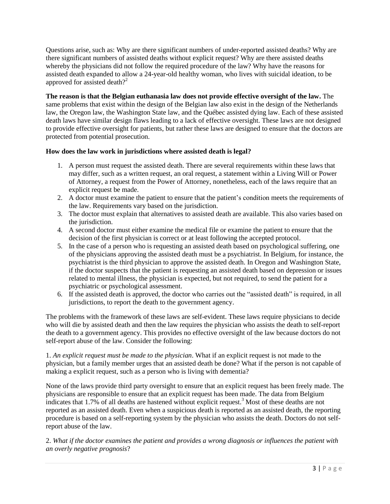Questions arise, such as: Why are there significant numbers of under-reported assisted deaths? Why are there significant numbers of assisted deaths without explicit request? Why are there assisted deaths whereby the physicians did not follow the required procedure of the law? Why have the reasons for assisted death expanded to allow a 24-year-old healthy woman, who lives with suicidal ideation, to be approved for assisted death $2<sup>2</sup>$ 

**The reason is that the Belgian euthanasia law does not provide effective oversight of the law.** The same problems that exist within the design of the Belgian law also exist in the design of the Netherlands law, the Oregon law, the Washington State law, and the Québec assisted dying law. Each of these assisted death laws have similar design flaws leading to a lack of effective oversight. These laws are not designed to provide effective oversight for patients, but rather these laws are designed to ensure that the doctors are protected from potential prosecution.

## **How does the law work in jurisdictions where assisted death is legal?**

- 1. A person must request the assisted death. There are several requirements within these laws that may differ, such as a written request, an oral request, a statement within a Living Will or Power of Attorney, a request from the Power of Attorney, nonetheless, each of the laws require that an explicit request be made.
- 2. A doctor must examine the patient to ensure that the patient's condition meets the requirements of the law. Requirements vary based on the jurisdiction.
- 3. The doctor must explain that alternatives to assisted death are available. This also varies based on the jurisdiction.
- 4. A second doctor must either examine the medical file or examine the patient to ensure that the decision of the first physician is correct or at least following the accepted protocol.
- 5. In the case of a person who is requesting an assisted death based on psychological suffering, one of the physicians approving the assisted death must be a psychiatrist. In Belgium, for instance, the psychiatrist is the third physician to approve the assisted death. In Oregon and Washington State, if the doctor suspects that the patient is requesting an assisted death based on depression or issues related to mental illness, the physician is expected, but not required, to send the patient for a psychiatric or psychological assessment.
- 6. If the assisted death is approved, the doctor who carries out the "assisted death" is required, in all jurisdictions, to report the death to the government agency.

The problems with the framework of these laws are self-evident. These laws require physicians to decide who will die by assisted death and then the law requires the physician who assists the death to self-report the death to a government agency. This provides no effective oversight of the law because doctors do not self-report abuse of the law. Consider the following:

1. *An explicit request must be made to the physician*. What if an explicit request is not made to the physician, but a family member urges that an assisted death be done? What if the person is not capable of making a explicit request, such as a person who is living with dementia?

None of the laws provide third party oversight to ensure that an explicit request has been freely made. The physicians are responsible to ensure that an explicit request has been made. The data from Belgium indicates that 1.7% of all deaths are hastened without explicit request.<sup>3</sup> Most of these deaths are not reported as an assisted death. Even when a suspicious death is reported as an assisted death, the reporting procedure is based on a self-reporting system by the physician who assists the death. Doctors do not selfreport abuse of the law.

2. *What if the doctor examines the patient and provides a wrong diagnosis or influences the patient with an overly negative prognosis*?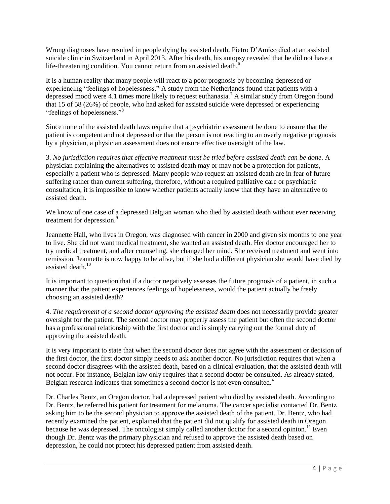Wrong diagnoses have resulted in people dying by assisted death. Pietro D'Amico died at an assisted suicide clinic in Switzerland in April 2013. After his death, his autopsy revealed that he did not have a life-threatening condition. You cannot return from an assisted death.<sup>6</sup>

It is a human reality that many people will react to a poor prognosis by becoming depressed or experiencing "feelings of hopelessness." A study from the Netherlands found that patients with a depressed mood were 4.1 times more likely to request euthanasia.<sup>7</sup> A similar study from Oregon found that 15 of 58 (26%) of people, who had asked for assisted suicide were depressed or experiencing "feelings of hopelessness."<sup>8</sup>

Since none of the assisted death laws require that a psychiatric assessment be done to ensure that the patient is competent and not depressed or that the person is not reacting to an overly negative prognosis by a physician, a physician assessment does not ensure effective oversight of the law.

3. *No jurisdiction requires that effective treatment must be tried before assisted death can be done*. A physician explaining the alternatives to assisted death may or may not be a protection for patients, especially a patient who is depressed. Many people who request an assisted death are in fear of future suffering rather than current suffering, therefore, without a required palliative care or psychiatric consultation, it is impossible to know whether patients actually know that they have an alternative to assisted death.

We know of one case of a depressed Belgian woman who died by assisted death without ever receiving treatment for depression.<sup>9</sup>

Jeannette Hall, who lives in Oregon, was diagnosed with cancer in 2000 and given six months to one year to live. She did not want medical treatment, she wanted an assisted death. Her doctor encouraged her to try medical treatment, and after counseling, she changed her mind. She received treatment and went into remission. Jeannette is now happy to be alive, but if she had a different physician she would have died by assisted death.<sup>10</sup>

It is important to question that if a doctor negatively assesses the future prognosis of a patient, in such a manner that the patient experiences feelings of hopelessness, would the patient actually be freely choosing an assisted death?

4. *The requirement of a second doctor approving the assisted death* does not necessarily provide greater oversight for the patient. The second doctor may properly assess the patient but often the second doctor has a professional relationship with the first doctor and is simply carrying out the formal duty of approving the assisted death.

It is very important to state that when the second doctor does not agree with the assessment or decision of the first doctor, the first doctor simply needs to ask another doctor. No jurisdiction requires that when a second doctor disagrees with the assisted death, based on a clinical evaluation, that the assisted death will not occur. For instance, Belgian law only requires that a second doctor be consulted. As already stated, Belgian research indicates that sometimes a second doctor is not even consulted.<sup>4</sup>

Dr. Charles Bentz, an Oregon doctor, had a depressed patient who died by assisted death. According to Dr. Bentz, he referred his patient for treatment for melanoma. The cancer specialist contacted Dr. Bentz asking him to be the second physician to approve the assisted death of the patient. Dr. Bentz, who had recently examined the patient, explained that the patient did not qualify for assisted death in Oregon because he was depressed. The oncologist simply called another doctor for a second opinion.<sup>11</sup> Even though Dr. Bentz was the primary physician and refused to approve the assisted death based on depression, he could not protect his depressed patient from assisted death.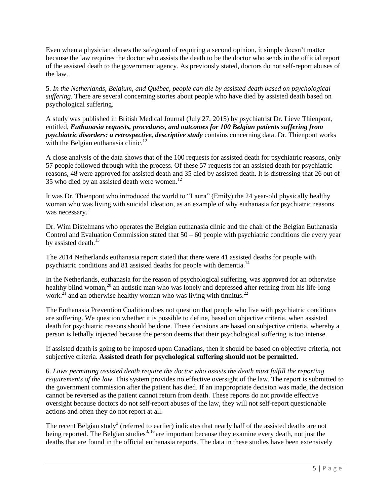Even when a physician abuses the safeguard of requiring a second opinion, it simply doesn't matter because the law requires the doctor who assists the death to be the doctor who sends in the official report of the assisted death to the government agency. As previously stated, doctors do not self-report abuses of the law.

5. *In the Netherlands, Belgium, and Québec, people can die by assisted death based on psychological suffering*. There are several concerning stories about people who have died by assisted death based on psychological suffering.

A study was published in British Medical Journal (July 27, 2015) by psychiatrist Dr. Lieve Thienpont, entitled, *Euthanasia requests, procedures, and outcomes for 100 Belgian patients suffering from psychiatric disorders: a retrospective, descriptive study* contains concerning data. Dr. Thienpont works with the Belgian euthanasia clinic.<sup>12</sup>

A close analysis of the data shows that of the 100 requests for assisted death for psychiatric reasons, only 57 people followed through with the process. Of these 57 requests for an assisted death for psychiatric reasons, 48 were approved for assisted death and 35 died by assisted death. It is distressing that 26 out of 35 who died by an assisted death were women.<sup>12</sup>

It was Dr. Thienpont who introduced the world to "Laura" (Emily) the 24 year-old physically healthy woman who was living with suicidal ideation, as an example of why euthanasia for psychiatric reasons was necessary.<sup>2</sup>

Dr. Wim Distelmans who operates the Belgian euthanasia clinic and the chair of the Belgian Euthanasia Control and Evaluation Commission stated that 50 – 60 people with psychiatric conditions die every year by assisted death. $^{13}$ 

The 2014 Netherlands euthanasia report stated that there were 41 assisted deaths for people with psychiatric conditions and 81 assisted deaths for people with dementia.<sup>14</sup>

In the Netherlands, euthanasia for the reason of psychological suffering, was approved for an otherwise healthy blind woman,<sup>20</sup> an autistic man who was lonely and depressed after retiring from his life-long work.<sup>21</sup> and an otherwise healthy woman who was living with tinnitus.<sup>22</sup>

The Euthanasia Prevention Coalition does not question that people who live with psychiatric conditions are suffering. We question whether it is possible to define, based on objective criteria, when assisted death for psychiatric reasons should be done. These decisions are based on subjective criteria, whereby a person is lethally injected because the person deems that their psychological suffering is too intense.

If assisted death is going to be imposed upon Canadians, then it should be based on objective criteria, not subjective criteria. **Assisted death for psychological suffering should not be permitted.**

6. *Laws permitting assisted death require the doctor who assists the death must fulfill the reporting requirements of the law.* This system provides no effective oversight of the law. The report is submitted to the government commission after the patient has died. If an inappropriate decision was made, the decision cannot be reversed as the patient cannot return from death. These reports do not provide effective oversight because doctors do not self-report abuses of the law, they will not self-report questionable actions and often they do not report at all.

The recent Belgian study<sup>3</sup> (referred to earlier) indicates that nearly half of the assisted deaths are not being reported. The Belgian studies<sup>3, 16</sup> are important because they examine every death, not just the deaths that are found in the official euthanasia reports. The data in these studies have been extensively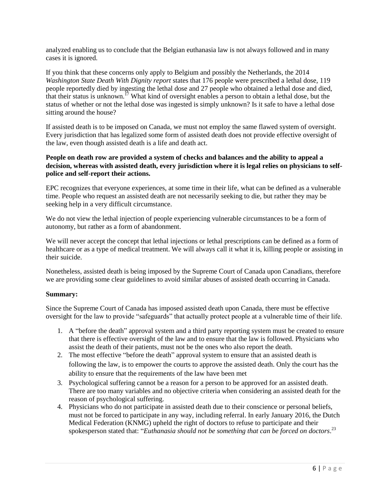analyzed enabling us to conclude that the Belgian euthanasia law is not always followed and in many cases it is ignored.

If you think that these concerns only apply to Belgium and possibly the Netherlands, the 2014 *Washington State Death With Dignity report* states that 176 people were prescribed a lethal dose, 119 people reportedly died by ingesting the lethal dose and 27 people who obtained a lethal dose and died, that their status is unknown.<sup>17</sup> What kind of oversight enables a person to obtain a lethal dose, but the status of whether or not the lethal dose was ingested is simply unknown? Is it safe to have a lethal dose sitting around the house?

If assisted death is to be imposed on Canada, we must not employ the same flawed system of oversight. Every jurisdiction that has legalized some form of assisted death does not provide effective oversight of the law, even though assisted death is a life and death act.

## **People on death row are provided a system of checks and balances and the ability to appeal a decision, whereas with assisted death, every jurisdiction where it is legal relies on physicians to selfpolice and self-report their actions.**

EPC recognizes that everyone experiences, at some time in their life, what can be defined as a vulnerable time. People who request an assisted death are not necessarily seeking to die, but rather they may be seeking help in a very difficult circumstance.

We do not view the lethal injection of people experiencing vulnerable circumstances to be a form of autonomy, but rather as a form of abandonment.

We will never accept the concept that lethal injections or lethal prescriptions can be defined as a form of healthcare or as a type of medical treatment. We will always call it what it is, killing people or assisting in their suicide.

Nonetheless, assisted death is being imposed by the Supreme Court of Canada upon Canadians, therefore we are providing some clear guidelines to avoid similar abuses of assisted death occurring in Canada.

### **Summary:**

Since the Supreme Court of Canada has imposed assisted death upon Canada, there must be effective oversight for the law to provide "safeguards" that actually protect people at a vulnerable time of their life.

- 1. A "before the death" approval system and a third party reporting system must be created to ensure that there is effective oversight of the law and to ensure that the law is followed. Physicians who assist the death of their patients, must not be the ones who also report the death.
- 2. The most effective "before the death" approval system to ensure that an assisted death is following the law, is to empower the courts to approve the assisted death. Only the court has the ability to ensure that the requirements of the law have been met
- 3. Psychological suffering cannot be a reason for a person to be approved for an assisted death. There are too many variables and no objective criteria when considering an assisted death for the reason of psychological suffering.
- 4. Physicians who do not participate in assisted death due to their conscience or personal beliefs, must not be forced to participate in any way, including referral. In early January 2016, the Dutch Medical Federation (KNMG) upheld the right of doctors to refuse to participate and their spokesperson stated that: "*Euthanasia should not be something that can be forced on doctors*. 23